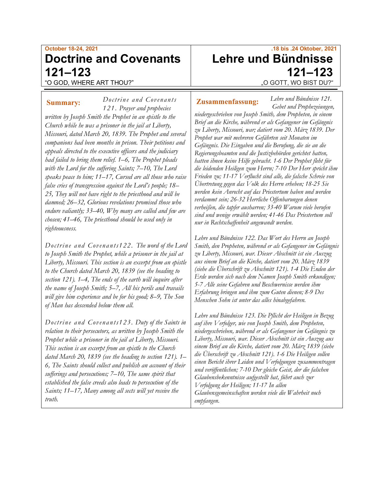# **October 18-24, 2021 Doctrine and Covenants 121–123** "O GOD, WHERE ART THOU?"

*Doctrine a nd Covenants 121. Prayer and prophecies written by Joseph Smith the Prophet in an epistle to the Church while he was a prisoner in the jail at Liberty, Missouri, dated March 20, 1839. The Prophet and several companions had been months in prison. Their petitions and appeals directed to the executive officers and the judiciary had failed to bring them relief. 1–6, The Prophet pleads with the Lord for the suffering Saints; 7–10, The Lord speaks peace to him; 11–17, Cursed are all those who raise false cries of transgression against the Lord's people; 18– 25, They will not have right to the priesthood and will be damned; 26–32, Glorious revelations promised those who endure valiantly; 33–40, Why many are called and few are chosen; 41–46, The priesthood should be used only in righteousness.* **Summary:** Doctrine and Covenants **Zusammenfassung:** 

*Doctrine and Covenants122. The word of the Lord to Joseph Smith the Prophet, while a prisoner in the jail at Liberty, Missouri. This section is an excerpt from an epistle to the Church dated March 20, 1839 (see the heading to section 121). 1–4, The ends of the earth will inquire after the name of Joseph Smith; 5–7, All his perils and travails will give him experience and be for his good; 8–9, The Son of Man has descended below them all.*

*Doctrine and Covenants123. Duty of the Saints in relation to their persecutors, as written by Joseph Smith the Prophet while a prisoner in the jail at Liberty, Missouri. This section is an excerpt from an epistle to the Church dated March 20, 1839 (see the heading to section 121). 1– 6, The Saints should collect and publish an account of their sufferings and persecutions; 7–10, The same spirit that established the false creeds also leads to persecution of the Saints; 11–17, Many among all sects will yet receive the truth.*

# **.18 bis .24 Oktober, 2021 Lehre und Bündnisse 121–123** "O GOTT, WO BIST DU?"

*Lehre und Bündnisse 121. Gebet und Prophezeiungen,* 

*niedergeschrieben von Joseph Smith, dem Propheten, in einem Brief an die Kirche, während er als Gefangener im Gefängnis zu Liberty, Missouri, war; datiert vom 20. März 1839. Der Prophet war mit mehreren Gefährten seit Monaten im Gefängnis. Die Eingaben und die Berufung, die sie an die Regierungsbeamten und die Justizbehörden gerichtet hatten, hatten ihnen keine Hilfe gebracht. 1-6 Der Prophet fleht für die leidenden Heiligen zum Herrn; 7-10 Der Herr spricht ihm Frieden zu; 11-17 Verflucht sind alle, die falsche Schreie von Übertretung gegen das Volk des Herrn erheben; 18-25 Sie werden kein Anrecht auf das Priestertum haben und werden verdammt sein; 26-32 Herrliche Offenbarungen denen verheißen, die tapfer ausharren; 33-40 Warum viele berufen sind und wenige erwählt werden; 41-46 Das Priestertum soll nur in Rechtschaffenheit angewandt werden.*

*Lehre und Bündnisse 122. Das Wort des Herrn an Joseph Smith, den Propheten, während er als Gefangener im Gefängnis zu Liberty, Missouri, war. Dieser Abschnitt ist ein Auszug aus einem Brief an die Kirche, datiert vom 20. März 1839 (siehe die Überschrift zu Abschnitt 121). 1-4 Die Enden der Erde werden sich nach dem Namen Joseph Smith erkundigen; 5-7 Alle seine Gefahren und Beschwernisse werden ihm Erfahrung bringen und ihm zum Guten dienen; 8-9 Des Menschen Sohn ist unter das alles hinabgefahren.*

*Lehre und Bündnisse 123. Die Pflicht der Heiligen in Bezug auf ihre Verfolger, wie von Joseph Smith, dem Propheten, niedergeschrieben, während er als Gefangener im Gefängnis zu Liberty, Missouri, war. Dieser Abschnitt ist ein Auszug aus einem Brief an die Kirche, datiert vom 20. März 1839 (siehe die Überschrift zu Abschnitt 121). 1-6 Die Heiligen sollen einen Bericht ihrer Leiden und Verfolgungen zusammentragen und veröffentlichen; 7-10 Der gleiche Geist, der die falschen Glaubensbekenntnisse aufgestellt hat, führt auch zur Verfolgung der Heiligen; 11-17 In allen Glaubensgemeinschaften werden viele die Wahrheit noch empfangen.*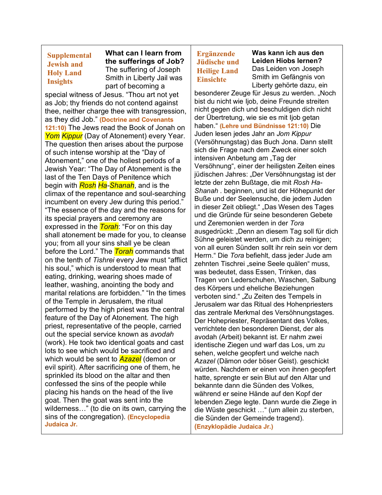## **Supplemental Jewish and Holy Land Insights**

**What can I learn from the sufferings of Job?** The suffering of Joseph Smith in Liberty Jail was part of becoming a

special witness of Jesus. "Thou art not yet as Job; thy friends do not contend against thee, neither charge thee with transgression, as they did Job." **(Doctrine and Covenants 121:10)** The Jews read the Book of Jonah on *Yom Kippur* (Day of Atonement) every Year. The question then arises about the purpose of such intense worship at the "Day of Atonement," one of the holiest periods of a Jewish Year: "The Day of Atonement is the last of the Ten Days of Penitence which begin with *Rosh Ha-Shanah*, and is the climax of the repentance and soul-searching incumbent on every Jew during this period." "The essence of the day and the reasons for its special prayers and ceremony are expressed in the *Torah*: "For on this day shall atonement be made for you, to cleanse you; from all your sins shall ye be clean before the Lord." The *Torah* commands that on the tenth of *Tishrei* every Jew must "afflict his soul," which is understood to mean that eating, drinking, wearing shoes made of leather, washing, anointing the body and marital relations are forbidden." "In the times of the Temple in Jerusalem, the ritual performed by the high priest was the central feature of the Day of Atonement. The high priest, representative of the people, carried out the special service known as *avodah* (work). He took two identical goats and cast lots to see which would be sacrificed and which would be sent to *Azazel* (demon or evil spirit). After sacrificing one of them, he sprinkled its blood on the altar and then confessed the sins of the people while placing his hands on the head of the live goat. Then the goat was sent into the wilderness…" (to die on its own, carrying the sins of the congregation). **(Encyclopedia Judaica Jr.**

## **Ergänzende Jüdische und Heilige Land Einsichte**

**Was kann ich aus den Leiden Hiobs lernen?** Das Leiden von Joseph Smith im Gefängnis von Liberty gehörte dazu, ein

besonderer Zeuge für Jesus zu werden. "Noch bist du nicht wie Ijob, deine Freunde streiten nicht gegen dich und beschuldigen dich nicht der Übertretung, wie sie es mit Ijob getan haben." **(Lehre und Bündnisse 121:10)** Die Juden lesen jedes Jahr an *Jom Kippur* (Versöhnungstag) das Buch Jona. Dann stellt sich die Frage nach dem Zweck einer solch intensiven Anbetung am "Tag der Versöhnung", einer der heiligsten Zeiten eines jüdischen Jahres: "Der Versöhnungstag ist der letzte der zehn Bußtage, die mit *Rosh Ha-Shanah* . beginnen, und ist der Höhepunkt der Buße und der Seelensuche, die jedem Juden in dieser Zeit obliegt." "Das Wesen des Tages und die Gründe für seine besonderen Gebete und Zeremonien werden in der *Tora* ausgedrückt: "Denn an diesem Tag soll für dich Sühne geleistet werden, um dich zu reinigen; von all euren Sünden sollt ihr rein sein vor dem Herrn." Die *Tora* befiehlt, dass jeder Jude am zehnten Tischrei "seine Seele quälen" muss, was bedeutet, dass Essen, Trinken, das Tragen von Lederschuhen, Waschen, Salbung des Körpers und eheliche Beziehungen verboten sind." "Zu Zeiten des Tempels in Jerusalem war das Ritual des Hohenpriesters das zentrale Merkmal des Versöhnungstages. Der Hohepriester, Repräsentant des Volkes, verrichtete den besonderen Dienst, der als avodah (Arbeit) bekannt ist. Er nahm zwei identische Ziegen und warf das Los, um zu sehen, welche geopfert und welche nach *Azazel* (Dämon oder böser Geist). geschickt würden. Nachdem er einen von ihnen geopfert hatte, sprengte er sein Blut auf den Altar und bekannte dann die Sünden des Volkes, während er seine Hände auf den Kopf der lebenden Ziege legte. Dann wurde die Ziege in die Wüste geschickt …" (um allein zu sterben, die Sünden der Gemeinde tragend). **(Enzyklopädie Judaica Jr.)**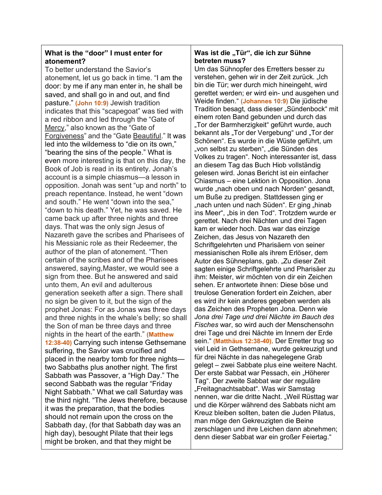## **What is the "door" I must enter for atonement?**

To better understand the Savior's atonement, let us go back in time. "I am the door: by me if any man enter in, he shall be saved, and shall go in and out, and find pasture." **(John 10:9)** Jewish tradition indicates that this "scapegoat" was tied with a red ribbon and led through the "Gate of Mercy," also known as the "Gate of Forgiveness" and the "Gate Beautiful." It was led into the wilderness to "die on its own," "bearing the sins of the people." What is even more interesting is that on this day, the Book of Job is read in its entirety. Jonah's account is a simple chiasmus—a lesson in opposition. Jonah was sent "up and north" to preach repentance. Instead, he went "down and south." He went "down into the sea," "down to his death." Yet, he was saved. He came back up after three nights and three days. That was the only sign Jesus of Nazareth gave the scribes and Pharisees of his Messianic role as their Redeemer, the author of the plan of atonement. "Then certain of the scribes and of the Pharisees answered, saying,Master, we would see a sign from thee. But he answered and said unto them, An evil and adulterous generation seeketh after a sign. There shall no sign be given to it, but the sign of the prophet Jonas: For as Jonas was three days and three nights in the whale's belly; so shall the Son of man be three days and three nights in the heart of the earth." **(Matthew 12:38-40)** Carrying such intense Gethsemane suffering, the Savior was crucified and placed in the nearby tomb for three nights two Sabbaths plus another night. The first Sabbath was Passover, a "High Day." The second Sabbath was the regular "Friday Night Sabbath." What we call Saturday was the third night. "The Jews therefore, because it was the preparation, that the bodies should not remain upon the cross on the Sabbath day, (for that Sabbath day was an high day), besought Pilate that their legs might be broken, and that they might be

### Was ist die "Tür", die ich zur Sühne **betreten muss?**

Um das Sühnopfer des Erretters besser zu verstehen, gehen wir in der Zeit zurück. "Ich bin die Tür; wer durch mich hineingeht, wird gerettet werden; er wird ein- und ausgehen und Weide finden." **(Johannes 10:9)** Die jüdische Tradition besagt, dass dieser "Sündenbock" mit einem roten Band gebunden und durch das "Tor der Barmherzigkeit" geführt wurde, auch bekannt als "Tor der Vergebung" und "Tor der Schönen". Es wurde in die Wüste geführt, um "von selbst zu sterben", "die Sünden des Volkes zu tragen". Noch interessanter ist, dass an diesem Tag das Buch Hiob vollständig gelesen wird. Jonas Bericht ist ein einfacher Chiasmus – eine Lektion in Opposition. Jona wurde "nach oben und nach Norden" gesandt, um Buße zu predigen. Stattdessen ging er nach unten und nach Süden". Er ging "hinab ins Meer", "bis in den Tod". Trotzdem wurde er gerettet. Nach drei Nächten und drei Tagen kam er wieder hoch. Das war das einzige Zeichen, das Jesus von Nazareth den Schriftgelehrten und Pharisäern von seiner messianischen Rolle als ihrem Erlöser, dem Autor des Sühneplans, gab. "Zu dieser Zeit sagten einige Schriftgelehrte und Pharisäer zu ihm: Meister, wir möchten von dir ein Zeichen sehen. Er antwortete ihnen: Diese böse und treulose Generation fordert ein Zeichen, aber es wird ihr kein anderes gegeben werden als das Zeichen des Propheten Jona. Denn wie *Jona drei Tage und drei Nächte im Bauch des Fisches* war, so wird auch der Menschensohn drei Tage und drei Nächte im Innern der Erde sein." **(Matthäus 12:38-40)**. Der Erretter trug so viel Leid in Gethsemane, wurde gekreuzigt und für drei Nächte in das nahegelegene Grab gelegt – zwei Sabbate plus eine weitere Nacht. Der erste Sabbat war Pessach, ein "Höherer Tag". Der zweite Sabbat war der reguläre "Freitagnachtsabbat". Was wir Samstag nennen, war die dritte Nacht. "Weil Rüsttag war und die Körper während des Sabbats nicht am Kreuz bleiben sollten, baten die Juden Pilatus, man möge den Gekreuzigten die Beine zerschlagen und ihre Leichen dann abnehmen; denn dieser Sabbat war ein großer Feiertag."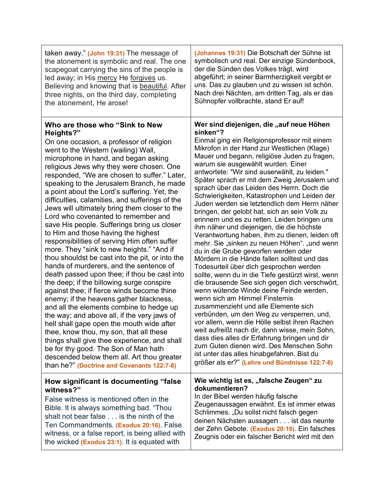| taken away." (John 19:31) The message of                                                                                                                                                                                                                                                                                                                                                                                                                                                                                                                                                                                                                                                                                                                                                                                                                                                                                                                                                                                                                                                                                                                                                                                                                                                                                                                 | (Johannes 19:31) Die Botschaft der Sühne ist                                                                                                                                                                                                                                                                                                                                                                                                                                                                                                                                                                                                                                                                                                                                                                                                                                                                                                                                                                                                                                                                                                                                                                                                                                                                                                                                                                                                         |
|----------------------------------------------------------------------------------------------------------------------------------------------------------------------------------------------------------------------------------------------------------------------------------------------------------------------------------------------------------------------------------------------------------------------------------------------------------------------------------------------------------------------------------------------------------------------------------------------------------------------------------------------------------------------------------------------------------------------------------------------------------------------------------------------------------------------------------------------------------------------------------------------------------------------------------------------------------------------------------------------------------------------------------------------------------------------------------------------------------------------------------------------------------------------------------------------------------------------------------------------------------------------------------------------------------------------------------------------------------|------------------------------------------------------------------------------------------------------------------------------------------------------------------------------------------------------------------------------------------------------------------------------------------------------------------------------------------------------------------------------------------------------------------------------------------------------------------------------------------------------------------------------------------------------------------------------------------------------------------------------------------------------------------------------------------------------------------------------------------------------------------------------------------------------------------------------------------------------------------------------------------------------------------------------------------------------------------------------------------------------------------------------------------------------------------------------------------------------------------------------------------------------------------------------------------------------------------------------------------------------------------------------------------------------------------------------------------------------------------------------------------------------------------------------------------------------|
| the atonement is symbolic and real. The one                                                                                                                                                                                                                                                                                                                                                                                                                                                                                                                                                                                                                                                                                                                                                                                                                                                                                                                                                                                                                                                                                                                                                                                                                                                                                                              | symbolisch und real. Der einzige Sündenbock,                                                                                                                                                                                                                                                                                                                                                                                                                                                                                                                                                                                                                                                                                                                                                                                                                                                                                                                                                                                                                                                                                                                                                                                                                                                                                                                                                                                                         |
| scapegoat carrying the sins of the people is                                                                                                                                                                                                                                                                                                                                                                                                                                                                                                                                                                                                                                                                                                                                                                                                                                                                                                                                                                                                                                                                                                                                                                                                                                                                                                             | der die Sünden des Volkes trägt, wird                                                                                                                                                                                                                                                                                                                                                                                                                                                                                                                                                                                                                                                                                                                                                                                                                                                                                                                                                                                                                                                                                                                                                                                                                                                                                                                                                                                                                |
| led away; in His mercy He forgives us.                                                                                                                                                                                                                                                                                                                                                                                                                                                                                                                                                                                                                                                                                                                                                                                                                                                                                                                                                                                                                                                                                                                                                                                                                                                                                                                   | abgeführt; in seiner Barmherzigkeit vergibt er                                                                                                                                                                                                                                                                                                                                                                                                                                                                                                                                                                                                                                                                                                                                                                                                                                                                                                                                                                                                                                                                                                                                                                                                                                                                                                                                                                                                       |
| Believing and knowing that is beautiful. After                                                                                                                                                                                                                                                                                                                                                                                                                                                                                                                                                                                                                                                                                                                                                                                                                                                                                                                                                                                                                                                                                                                                                                                                                                                                                                           | uns. Das zu glauben und zu wissen ist schön.                                                                                                                                                                                                                                                                                                                                                                                                                                                                                                                                                                                                                                                                                                                                                                                                                                                                                                                                                                                                                                                                                                                                                                                                                                                                                                                                                                                                         |
| three nights, on the third day, completing                                                                                                                                                                                                                                                                                                                                                                                                                                                                                                                                                                                                                                                                                                                                                                                                                                                                                                                                                                                                                                                                                                                                                                                                                                                                                                               | Nach drei Nächten, am dritten Tag, als er das                                                                                                                                                                                                                                                                                                                                                                                                                                                                                                                                                                                                                                                                                                                                                                                                                                                                                                                                                                                                                                                                                                                                                                                                                                                                                                                                                                                                        |
| the atonement, He arose!                                                                                                                                                                                                                                                                                                                                                                                                                                                                                                                                                                                                                                                                                                                                                                                                                                                                                                                                                                                                                                                                                                                                                                                                                                                                                                                                 | Sühnopfer vollbrachte, stand Er auf!                                                                                                                                                                                                                                                                                                                                                                                                                                                                                                                                                                                                                                                                                                                                                                                                                                                                                                                                                                                                                                                                                                                                                                                                                                                                                                                                                                                                                 |
| Who are those who "Sink to New<br>Heights?"<br>On one occasion, a professor of religion<br>went to the Western (wailing) Wall,<br>microphone in hand, and began asking<br>religious Jews why they were chosen. One<br>responded, "We are chosen to suffer." Later,<br>speaking to the Jerusalem Branch, he made<br>a point about the Lord's suffering. Yet, the<br>difficulties, calamities, and sufferings of the<br>Jews will ultimately bring them closer to the<br>Lord who covenanted to remember and<br>save His people. Sufferings bring us closer<br>to Him and those having the highest<br>responsibilities of serving Him often suffer<br>more. They "sink to new heights." "And if<br>thou shouldst be cast into the pit, or into the<br>hands of murderers, and the sentence of<br>death passed upon thee; if thou be cast into<br>the deep; if the billowing surge conspire<br>against thee; if fierce winds become thine<br>enemy; if the heavens gather blackness,<br>and all the elements combine to hedge up<br>the way; and above all, if the very jaws of<br>hell shall gape open the mouth wide after<br>thee, know thou, my son, that all these<br>things shall give thee experience, and shall<br>be for thy good. The Son of Man hath<br>descended below them all. Art thou greater<br>than he?" (Doctrine and Covenants 122:7-8) | Wer sind diejenigen, die "auf neue Höhen<br>sinken"?<br>Einmal ging ein Religionsprofessor mit einem<br>Mikrofon in der Hand zur Westlichen (Klage)<br>Mauer und begann, religiöse Juden zu fragen,<br>warum sie ausgewählt wurden. Einer<br>antwortete: "Wir sind auserwählt, zu leiden."<br>Später sprach er mit dem Zweig Jerusalem und<br>sprach über das Leiden des Herrn. Doch die<br>Schwierigkeiten, Katastrophen und Leiden der<br>Juden werden sie letztendlich dem Herrn näher<br>bringen, der gelobt hat, sich an sein Volk zu<br>erinnern und es zu retten. Leiden bringen uns<br>ihm näher und diejenigen, die die höchste<br>Verantwortung haben, ihm zu dienen, leiden oft<br>mehr. Sie "sinken zu neuen Höhen". "und wenn<br>du in die Grube geworfen werden oder<br>Mördern in die Hände fallen solltest und das<br>Todesurteil über dich gesprochen werden<br>sollte, wenn du in die Tiefe gestürzt wirst, wenn<br>die brausende See sich gegen dich verschwört,<br>wenn wütende Winde deine Feinde werden,<br>wenn sich am Himmel Finsternis<br>zusammenzieht und alle Elemente sich<br>verbünden, um den Weg zu versperren, und,<br>vor allem, wenn die Hölle selbst ihren Rachen<br>weit aufreißt nach dir, dann wisse, mein Sohn,<br>dass dies alles dir Erfahrung bringen und dir<br>zum Guten dienen wird. Des Menschen Sohn<br>ist unter das alles hinabgefahren. Bist du<br>größer als er?" (Lehre und Bündnisse 122:7-8) |
| How significant is documenting "false                                                                                                                                                                                                                                                                                                                                                                                                                                                                                                                                                                                                                                                                                                                                                                                                                                                                                                                                                                                                                                                                                                                                                                                                                                                                                                                    | Wie wichtig ist es, "falsche Zeugen" zu                                                                                                                                                                                                                                                                                                                                                                                                                                                                                                                                                                                                                                                                                                                                                                                                                                                                                                                                                                                                                                                                                                                                                                                                                                                                                                                                                                                                              |
| witness?"                                                                                                                                                                                                                                                                                                                                                                                                                                                                                                                                                                                                                                                                                                                                                                                                                                                                                                                                                                                                                                                                                                                                                                                                                                                                                                                                                | dokumentieren?                                                                                                                                                                                                                                                                                                                                                                                                                                                                                                                                                                                                                                                                                                                                                                                                                                                                                                                                                                                                                                                                                                                                                                                                                                                                                                                                                                                                                                       |
| False witness is mentioned often in the                                                                                                                                                                                                                                                                                                                                                                                                                                                                                                                                                                                                                                                                                                                                                                                                                                                                                                                                                                                                                                                                                                                                                                                                                                                                                                                  | In der Bibel werden häufig falsche                                                                                                                                                                                                                                                                                                                                                                                                                                                                                                                                                                                                                                                                                                                                                                                                                                                                                                                                                                                                                                                                                                                                                                                                                                                                                                                                                                                                                   |
| Bible. It is always something bad. "Thou                                                                                                                                                                                                                                                                                                                                                                                                                                                                                                                                                                                                                                                                                                                                                                                                                                                                                                                                                                                                                                                                                                                                                                                                                                                                                                                 | Zeugenaussagen erwähnt. Es ist immer etwas                                                                                                                                                                                                                                                                                                                                                                                                                                                                                                                                                                                                                                                                                                                                                                                                                                                                                                                                                                                                                                                                                                                                                                                                                                                                                                                                                                                                           |
| shalt not bear false is the ninth of the                                                                                                                                                                                                                                                                                                                                                                                                                                                                                                                                                                                                                                                                                                                                                                                                                                                                                                                                                                                                                                                                                                                                                                                                                                                                                                                 | Schlimmes. "Du sollst nicht falsch gegen                                                                                                                                                                                                                                                                                                                                                                                                                                                                                                                                                                                                                                                                                                                                                                                                                                                                                                                                                                                                                                                                                                                                                                                                                                                                                                                                                                                                             |
| Ten Commandments. (Exodus 20:16). False                                                                                                                                                                                                                                                                                                                                                                                                                                                                                                                                                                                                                                                                                                                                                                                                                                                                                                                                                                                                                                                                                                                                                                                                                                                                                                                  | deinen Nächsten aussagen ist das neunte                                                                                                                                                                                                                                                                                                                                                                                                                                                                                                                                                                                                                                                                                                                                                                                                                                                                                                                                                                                                                                                                                                                                                                                                                                                                                                                                                                                                              |
| witness, or a false report, is being allied with                                                                                                                                                                                                                                                                                                                                                                                                                                                                                                                                                                                                                                                                                                                                                                                                                                                                                                                                                                                                                                                                                                                                                                                                                                                                                                         | der Zehn Gebote. (Exodus 20:16). Ein falsches                                                                                                                                                                                                                                                                                                                                                                                                                                                                                                                                                                                                                                                                                                                                                                                                                                                                                                                                                                                                                                                                                                                                                                                                                                                                                                                                                                                                        |
| the wicked (Exodus 23:1). It is equated with                                                                                                                                                                                                                                                                                                                                                                                                                                                                                                                                                                                                                                                                                                                                                                                                                                                                                                                                                                                                                                                                                                                                                                                                                                                                                                             | Zeugnis oder ein falscher Bericht wird mit den                                                                                                                                                                                                                                                                                                                                                                                                                                                                                                                                                                                                                                                                                                                                                                                                                                                                                                                                                                                                                                                                                                                                                                                                                                                                                                                                                                                                       |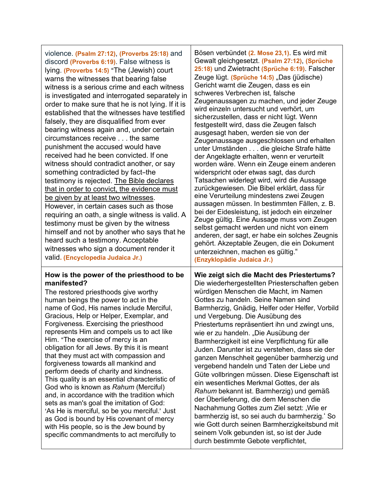| violence. (Psalm 27:12), (Proverbs 25:18) and<br>discord (Proverbs 6:19). False witness is<br>lying. (Proverbs 14:5) "The (Jewish) court<br>warns the witnesses that bearing false<br>witness is a serious crime and each witness<br>is investigated and interrogated separately in<br>order to make sure that he is not lying. If it is<br>established that the witnesses have testified<br>falsely, they are disqualified from ever<br>bearing witness again and, under certain<br>circumstances receive the same<br>punishment the accused would have<br>received had he been convicted. If one<br>witness should contradict another, or say<br>something contradicted by fact-the<br>testimony is rejected. The Bible declares<br>that in order to convict, the evidence must<br><u>be given by at least two witnesses</u> .<br>However, in certain cases such as those<br>requiring an oath, a single witness is valid. A<br>testimony must be given by the witness<br>himself and not by another who says that he<br>heard such a testimony. Acceptable<br>witnesses who sign a document render it<br>valid. (Encyclopedia Judaica Jr.) | Bösen verbündet (2. Mose 23,1). Es wird mit<br>Gewalt gleichgesetzt. (Psalm 27:12), (Sprüche<br>25:18) und Zwietracht (Sprüche 6:19). Falscher<br>Zeuge lügt. (Sprüche 14:5) "Das (jüdische)<br>Gericht warnt die Zeugen, dass es ein<br>schweres Verbrechen ist, falsche<br>Zeugenaussagen zu machen, und jeder Zeuge<br>wird einzeln untersucht und verhört, um<br>sicherzustellen, dass er nicht lügt. Wenn<br>festgestellt wird, dass die Zeugen falsch<br>ausgesagt haben, werden sie von der<br>Zeugenaussage ausgeschlossen und erhalten<br>unter Umständen die gleiche Strafe hätte<br>der Angeklagte erhalten, wenn er verurteilt<br>worden wäre. Wenn ein Zeuge einem anderen<br>widerspricht oder etwas sagt, das durch<br>Tatsachen widerlegt wird, wird die Aussage<br>zurückgewiesen. Die Bibel erklärt, dass für<br>eine Verurteilung mindestens zwei Zeugen<br>aussagen müssen. In bestimmten Fällen, z. B.<br>bei der Eidesleistung, ist jedoch ein einzelner<br>Zeuge gültig. Eine Aussage muss vom Zeugen<br>selbst gemacht werden und nicht von einem<br>anderen, der sagt, er habe ein solches Zeugnis<br>gehört. Akzeptable Zeugen, die ein Dokument<br>unterzeichnen, machen es gültig."<br>(Enzyklopädie Judaica Jr.) |
|-----------------------------------------------------------------------------------------------------------------------------------------------------------------------------------------------------------------------------------------------------------------------------------------------------------------------------------------------------------------------------------------------------------------------------------------------------------------------------------------------------------------------------------------------------------------------------------------------------------------------------------------------------------------------------------------------------------------------------------------------------------------------------------------------------------------------------------------------------------------------------------------------------------------------------------------------------------------------------------------------------------------------------------------------------------------------------------------------------------------------------------------------|-----------------------------------------------------------------------------------------------------------------------------------------------------------------------------------------------------------------------------------------------------------------------------------------------------------------------------------------------------------------------------------------------------------------------------------------------------------------------------------------------------------------------------------------------------------------------------------------------------------------------------------------------------------------------------------------------------------------------------------------------------------------------------------------------------------------------------------------------------------------------------------------------------------------------------------------------------------------------------------------------------------------------------------------------------------------------------------------------------------------------------------------------------------------------------------------------------------------------------------------------|
| How is the power of the priesthood to be                                                                                                                                                                                                                                                                                                                                                                                                                                                                                                                                                                                                                                                                                                                                                                                                                                                                                                                                                                                                                                                                                                      | Wie zeigt sich die Macht des Priestertums?                                                                                                                                                                                                                                                                                                                                                                                                                                                                                                                                                                                                                                                                                                                                                                                                                                                                                                                                                                                                                                                                                                                                                                                                    |
| manifested?                                                                                                                                                                                                                                                                                                                                                                                                                                                                                                                                                                                                                                                                                                                                                                                                                                                                                                                                                                                                                                                                                                                                   | Die wiederhergestellten Priesterschaften geben                                                                                                                                                                                                                                                                                                                                                                                                                                                                                                                                                                                                                                                                                                                                                                                                                                                                                                                                                                                                                                                                                                                                                                                                |
| The restored priesthoods give worthy                                                                                                                                                                                                                                                                                                                                                                                                                                                                                                                                                                                                                                                                                                                                                                                                                                                                                                                                                                                                                                                                                                          | würdigen Menschen die Macht, im Namen                                                                                                                                                                                                                                                                                                                                                                                                                                                                                                                                                                                                                                                                                                                                                                                                                                                                                                                                                                                                                                                                                                                                                                                                         |
| human beings the power to act in the                                                                                                                                                                                                                                                                                                                                                                                                                                                                                                                                                                                                                                                                                                                                                                                                                                                                                                                                                                                                                                                                                                          | Gottes zu handeln. Seine Namen sind                                                                                                                                                                                                                                                                                                                                                                                                                                                                                                                                                                                                                                                                                                                                                                                                                                                                                                                                                                                                                                                                                                                                                                                                           |
| name of God, His names include Merciful,                                                                                                                                                                                                                                                                                                                                                                                                                                                                                                                                                                                                                                                                                                                                                                                                                                                                                                                                                                                                                                                                                                      | Barmherzig, Gnädig, Helfer oder Helfer, Vorbild                                                                                                                                                                                                                                                                                                                                                                                                                                                                                                                                                                                                                                                                                                                                                                                                                                                                                                                                                                                                                                                                                                                                                                                               |
| Gracious, Help or Helper, Exemplar, and                                                                                                                                                                                                                                                                                                                                                                                                                                                                                                                                                                                                                                                                                                                                                                                                                                                                                                                                                                                                                                                                                                       | und Vergebung. Die Ausübung des                                                                                                                                                                                                                                                                                                                                                                                                                                                                                                                                                                                                                                                                                                                                                                                                                                                                                                                                                                                                                                                                                                                                                                                                               |
| Forgiveness. Exercising the priesthood                                                                                                                                                                                                                                                                                                                                                                                                                                                                                                                                                                                                                                                                                                                                                                                                                                                                                                                                                                                                                                                                                                        | Priestertums repräsentiert ihn und zwingt uns,                                                                                                                                                                                                                                                                                                                                                                                                                                                                                                                                                                                                                                                                                                                                                                                                                                                                                                                                                                                                                                                                                                                                                                                                |
| represents Him and compels us to act like                                                                                                                                                                                                                                                                                                                                                                                                                                                                                                                                                                                                                                                                                                                                                                                                                                                                                                                                                                                                                                                                                                     | wie er zu handeln. "Die Ausübung der                                                                                                                                                                                                                                                                                                                                                                                                                                                                                                                                                                                                                                                                                                                                                                                                                                                                                                                                                                                                                                                                                                                                                                                                          |
| Him. "The exercise of mercy is an                                                                                                                                                                                                                                                                                                                                                                                                                                                                                                                                                                                                                                                                                                                                                                                                                                                                                                                                                                                                                                                                                                             | Barmherzigkeit ist eine Verpflichtung für alle                                                                                                                                                                                                                                                                                                                                                                                                                                                                                                                                                                                                                                                                                                                                                                                                                                                                                                                                                                                                                                                                                                                                                                                                |
| obligation for all Jews. By this it is meant                                                                                                                                                                                                                                                                                                                                                                                                                                                                                                                                                                                                                                                                                                                                                                                                                                                                                                                                                                                                                                                                                                  | Juden. Darunter ist zu verstehen, dass sie der                                                                                                                                                                                                                                                                                                                                                                                                                                                                                                                                                                                                                                                                                                                                                                                                                                                                                                                                                                                                                                                                                                                                                                                                |
| that they must act with compassion and                                                                                                                                                                                                                                                                                                                                                                                                                                                                                                                                                                                                                                                                                                                                                                                                                                                                                                                                                                                                                                                                                                        | ganzen Menschheit gegenüber barmherzig und                                                                                                                                                                                                                                                                                                                                                                                                                                                                                                                                                                                                                                                                                                                                                                                                                                                                                                                                                                                                                                                                                                                                                                                                    |
| forgiveness towards all mankind and                                                                                                                                                                                                                                                                                                                                                                                                                                                                                                                                                                                                                                                                                                                                                                                                                                                                                                                                                                                                                                                                                                           | vergebend handeln und Taten der Liebe und                                                                                                                                                                                                                                                                                                                                                                                                                                                                                                                                                                                                                                                                                                                                                                                                                                                                                                                                                                                                                                                                                                                                                                                                     |
| perform deeds of charity and kindness.                                                                                                                                                                                                                                                                                                                                                                                                                                                                                                                                                                                                                                                                                                                                                                                                                                                                                                                                                                                                                                                                                                        | Güte vollbringen müssen. Diese Eigenschaft ist                                                                                                                                                                                                                                                                                                                                                                                                                                                                                                                                                                                                                                                                                                                                                                                                                                                                                                                                                                                                                                                                                                                                                                                                |
| This quality is an essential characteristic of                                                                                                                                                                                                                                                                                                                                                                                                                                                                                                                                                                                                                                                                                                                                                                                                                                                                                                                                                                                                                                                                                                | ein wesentliches Merkmal Gottes, der als                                                                                                                                                                                                                                                                                                                                                                                                                                                                                                                                                                                                                                                                                                                                                                                                                                                                                                                                                                                                                                                                                                                                                                                                      |
| God who is known as Rahum (Merciful)                                                                                                                                                                                                                                                                                                                                                                                                                                                                                                                                                                                                                                                                                                                                                                                                                                                                                                                                                                                                                                                                                                          | Rahum bekannt ist. Barmherzig) und gemäß                                                                                                                                                                                                                                                                                                                                                                                                                                                                                                                                                                                                                                                                                                                                                                                                                                                                                                                                                                                                                                                                                                                                                                                                      |
| and, in accordance with the tradition which                                                                                                                                                                                                                                                                                                                                                                                                                                                                                                                                                                                                                                                                                                                                                                                                                                                                                                                                                                                                                                                                                                   | der Überlieferung, die dem Menschen die                                                                                                                                                                                                                                                                                                                                                                                                                                                                                                                                                                                                                                                                                                                                                                                                                                                                                                                                                                                                                                                                                                                                                                                                       |
| sets as man's goal the imitation of God:                                                                                                                                                                                                                                                                                                                                                                                                                                                                                                                                                                                                                                                                                                                                                                                                                                                                                                                                                                                                                                                                                                      | Nachahmung Gottes zum Ziel setzt: , Wie er                                                                                                                                                                                                                                                                                                                                                                                                                                                                                                                                                                                                                                                                                                                                                                                                                                                                                                                                                                                                                                                                                                                                                                                                    |
| 'As He is merciful, so be you merciful.' Just                                                                                                                                                                                                                                                                                                                                                                                                                                                                                                                                                                                                                                                                                                                                                                                                                                                                                                                                                                                                                                                                                                 | barmherzig ist, so sei auch du barmherzig. So                                                                                                                                                                                                                                                                                                                                                                                                                                                                                                                                                                                                                                                                                                                                                                                                                                                                                                                                                                                                                                                                                                                                                                                                 |
| as God is bound by His covenant of mercy                                                                                                                                                                                                                                                                                                                                                                                                                                                                                                                                                                                                                                                                                                                                                                                                                                                                                                                                                                                                                                                                                                      | wie Gott durch seinen Barmherzigkeitsbund mit                                                                                                                                                                                                                                                                                                                                                                                                                                                                                                                                                                                                                                                                                                                                                                                                                                                                                                                                                                                                                                                                                                                                                                                                 |
| with His people, so is the Jew bound by                                                                                                                                                                                                                                                                                                                                                                                                                                                                                                                                                                                                                                                                                                                                                                                                                                                                                                                                                                                                                                                                                                       | seinem Volk gebunden ist, so ist der Jude                                                                                                                                                                                                                                                                                                                                                                                                                                                                                                                                                                                                                                                                                                                                                                                                                                                                                                                                                                                                                                                                                                                                                                                                     |
| specific commandments to act mercifully to                                                                                                                                                                                                                                                                                                                                                                                                                                                                                                                                                                                                                                                                                                                                                                                                                                                                                                                                                                                                                                                                                                    | durch bestimmte Gebote verpflichtet,                                                                                                                                                                                                                                                                                                                                                                                                                                                                                                                                                                                                                                                                                                                                                                                                                                                                                                                                                                                                                                                                                                                                                                                                          |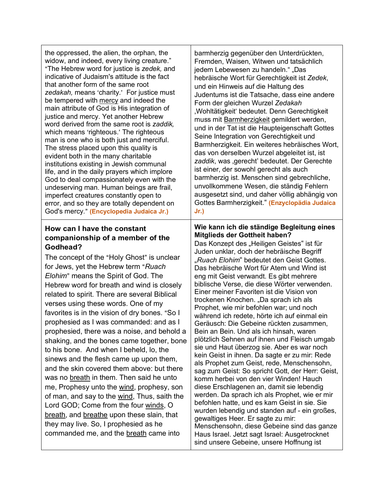the oppressed, the alien, the orphan, the widow, and indeed, every living creature." AThe Hebrew word for justice is *zedek,* and indicative of Judaism's attitude is the fact that another form of the same root zedakah, means 'charity.' For justice must be tempered with mercy and indeed the main attribute of God is His integration of justice and mercy. Yet another Hebrew word derived from the same root is *zaddik,*  which means 'righteous.' The righteous man is one who is both just and merciful. The stress placed upon this quality is evident both in the many charitable institutions existing in Jewish communal life, and in the daily prayers which implore God to deal compassionately even with the undeserving man. Human beings are frail, imperfect creatures constantly open to error, and so they are totally dependent on God's mercy." (**Encyclopedia Judaica Jr.**)

## **How can I have the constant companionship of a member of the Godhead?**

The concept of the "Holy Ghost" is unclear for Jews, yet the Hebrew term "Ruach" *Elohim*" means the Spirit of God. The Hebrew word for breath and wind is closely related to spirit. There are several Biblical verses using these words. One of my favorites is in the vision of dry bones. "So I prophesied as I was commanded: and as I prophesied, there was a noise, and behold a shaking, and the bones came together, bone to his bone. And when I beheld, lo, the sinews and the flesh came up upon them, and the skin covered them above: but there was no breath in them. Then said he unto me, Prophesy unto the wind, prophesy, son of man, and say to the wind, Thus, saith the Lord GOD; Come from the four winds, O breath, and breathe upon these slain, that they may live. So, I prophesied as he commanded me, and the breath came into

barmherzig gegenüber den Unterdrückten, Fremden, Waisen, Witwen und tatsächlich jedem Lebewesen zu handeln." "Das hebräische Wort für Gerechtigkeit ist *Zedek*, und ein Hinweis auf die Haltung des Judentums ist die Tatsache, dass eine andere Form der gleichen Wurzel *Zedakah* 'Wohltätigkeit' bedeutet. Denn Gerechtigkeit muss mit Barmherzigkeit gemildert werden, und in der Tat ist die Haupteigenschaft Gottes Seine Integration von Gerechtigkeit und Barmherzigkeit. Ein weiteres hebräisches Wort, das von derselben Wurzel abgeleitet ist, ist zaddik, was ,gerecht' bedeutet. Der Gerechte ist einer, der sowohl gerecht als auch barmherzig ist. Menschen sind gebrechliche, unvollkommene Wesen, die ständig Fehlern ausgesetzt sind, und daher völlig abhängig von Gottes Barmherzigkeit." **(Enzyclopädia Judaica Jr.)**

#### **Wie kann ich die ständige Begleitung eines Mitglieds der Gottheit haben?**

Das Konzept des "Heiligen Geistes" ist für Juden unklar, doch der hebräische Begriff "*Ruach Elohim*" bedeutet den Geist Gottes. Das hebräische Wort für Atem und Wind ist eng mit Geist verwandt. Es gibt mehrere biblische Verse, die diese Wörter verwenden. Einer meiner Favoriten ist die Vision von trockenen Knochen. "Da sprach ich als Prophet, wie mir befohlen war; und noch während ich redete, hörte ich auf einmal ein Geräusch: Die Gebeine rückten zusammen, Bein an Bein. Und als ich hinsah, waren plötzlich Sehnen auf ihnen und Fleisch umgab sie und Haut überzog sie. Aber es war noch kein Geist in ihnen. Da sagte er zu mir: Rede als Prophet zum Geist, rede, Menschensohn, sag zum Geist: So spricht Gott, der Herr: Geist, komm herbei von den vier Winden! Hauch diese Erschlagenen an, damit sie lebendig werden. Da sprach ich als Prophet, wie er mir befohlen hatte, und es kam Geist in sie. Sie wurden lebendig und standen auf - ein großes, gewaltiges Heer. Er sagte zu mir: Menschensohn, diese Gebeine sind das ganze Haus Israel. Jetzt sagt Israel: Ausgetrocknet sind unsere Gebeine, unsere Hoffnung ist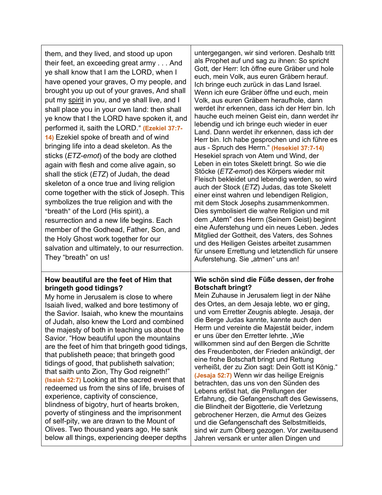| them, and they lived, and stood up upon<br>their feet, an exceeding great army And<br>ye shall know that I am the LORD, when I<br>have opened your graves, O my people, and<br>brought you up out of your graves, And shall<br>put my spirit in you, and ye shall live, and I<br>shall place you in your own land: then shall<br>ye know that I the LORD have spoken it, and<br>performed it, saith the LORD." (Ezekiel 37:7-<br>14) Ezekiel spoke of breath and of wind<br>bringing life into a dead skeleton. As the<br>sticks (ETZ-emot) of the body are clothed<br>again with flesh and come alive again, so<br>shall the stick $(ETZ)$ of Judah, the dead<br>skeleton of a once true and living religion<br>come together with the stick of Joseph. This<br>symbolizes the true religion and with the<br>"breath" of the Lord (His spirit), a<br>resurrection and a new life begins. Each<br>member of the Godhead, Father, Son, and<br>the Holy Ghost work together for our<br>salvation and ultimately, to our resurrection.<br>They "breath" on us! | untergegangen, wir sind verloren. Deshalb tritt<br>als Prophet auf und sag zu ihnen: So spricht<br>Gott, der Herr: Ich öffne eure Gräber und hole<br>euch, mein Volk, aus euren Gräbern herauf.<br>Ich bringe euch zurück in das Land Israel.<br>Wenn ich eure Gräber öffne und euch, mein<br>Volk, aus euren Gräbern heraufhole, dann<br>werdet ihr erkennen, dass ich der Herr bin. Ich<br>hauche euch meinen Geist ein, dann werdet ihr<br>lebendig und ich bringe euch wieder in euer<br>Land. Dann werdet ihr erkennen, dass ich der<br>Herr bin. Ich habe gesprochen und ich führe es<br>aus - Spruch des Herrn." (Hesekiel 37:7-14)<br>Hesekiel sprach von Atem und Wind, der<br>Leben in ein totes Skelett bringt. So wie die<br>Stöcke (ETZ-emot) des Körpers wieder mit<br>Fleisch bekleidet und lebendig werden, so wird<br>auch der Stock (ETZ) Judas, das tote Skelett<br>einer einst wahren und lebendigen Religion,<br>mit dem Stock Josephs zusammenkommen.<br>Dies symbolisiert die wahre Religion und mit<br>dem "Atem" des Herrn (Seinem Geist) beginnt<br>eine Auferstehung und ein neues Leben. Jedes<br>Mitglied der Gottheit, des Vaters, des Sohnes<br>und des Heiligen Geistes arbeitet zusammen<br>für unsere Errettung und letztendlich für unsere<br>Auferstehung. Sie "atmen" uns an! |
|-------------------------------------------------------------------------------------------------------------------------------------------------------------------------------------------------------------------------------------------------------------------------------------------------------------------------------------------------------------------------------------------------------------------------------------------------------------------------------------------------------------------------------------------------------------------------------------------------------------------------------------------------------------------------------------------------------------------------------------------------------------------------------------------------------------------------------------------------------------------------------------------------------------------------------------------------------------------------------------------------------------------------------------------------------------|--------------------------------------------------------------------------------------------------------------------------------------------------------------------------------------------------------------------------------------------------------------------------------------------------------------------------------------------------------------------------------------------------------------------------------------------------------------------------------------------------------------------------------------------------------------------------------------------------------------------------------------------------------------------------------------------------------------------------------------------------------------------------------------------------------------------------------------------------------------------------------------------------------------------------------------------------------------------------------------------------------------------------------------------------------------------------------------------------------------------------------------------------------------------------------------------------------------------------------------------------------------------------------------------------------------------|
| How beautiful are the feet of Him that<br>bringeth good tidings?<br>My home in Jerusalem is close to where<br>Isaiah lived, walked and bore testimony of<br>the Savior. Isaiah, who knew the mountains<br>of Judah, also knew the Lord and combined<br>the majesty of both in teaching us about the<br>Savior. "How beautiful upon the mountains<br>are the feet of him that bringeth good tidings,<br>that publisheth peace; that bringeth good<br>tidings of good, that publisheth salvation;<br>that saith unto Zion, Thy God reigneth!"<br>(Isaiah 52:7) Looking at the sacred event that<br>redeemed us from the sins of life, bruises of<br>experience, captivity of conscience,<br>blindness of bigotry, hurt of hearts broken,<br>poverty of stinginess and the imprisonment<br>of self-pity, we are drawn to the Mount of<br>Olives. Two thousand years ago, He sank<br>below all things, experiencing deeper depths                                                                                                                               | Wie schön sind die Füße dessen, der frohe<br><b>Botschaft bringt?</b><br>Mein Zuhause in Jerusalem liegt in der Nähe<br>des Ortes, an dem Jesaja lebte, wo er ging,<br>und vom Erretter Zeugnis ablegte. Jesaja, der<br>die Berge Judas kannte, kannte auch den<br>Herrn und vereinte die Majestät beider, indem<br>er uns über den Erretter lehrte. "Wie<br>willkommen sind auf den Bergen die Schritte<br>des Freudenboten, der Frieden ankündigt, der<br>eine frohe Botschaft bringt und Rettung<br>verheißt, der zu Zion sagt: Dein Gott ist König."<br>(Jesaja 52:7) Wenn wir das heilige Ereignis<br>betrachten, das uns von den Sünden des<br>Lebens erlöst hat, die Prellungen der<br>Erfahrung, die Gefangenschaft des Gewissens,<br>die Blindheit der Bigotterie, die Verletzung<br>gebrochener Herzen, die Armut des Geizes<br>und die Gefangenschaft des Selbstmitleids,<br>sind wir zum Ölberg gezogen. Vor zweitausend<br>Jahren versank er unter allen Dingen und                                                                                                                                                                                                                                                                                                                                   |

Т